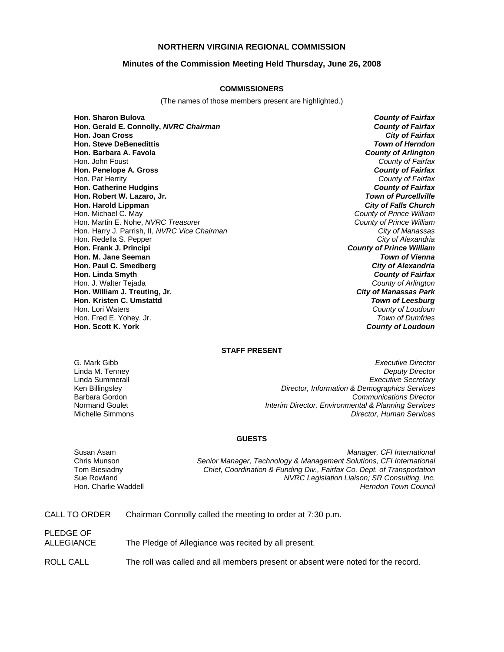## **NORTHERN VIRGINIA REGIONAL COMMISSION**

### **Minutes of the Commission Meeting Held Thursday, June 26, 2008**

#### **COMMISSIONERS**

(The names of those members present are highlighted.)

**Hon. Sharon Bulova** *County of Fairfax* **Hon. Gerald E. Connolly,** *NVRC Chairman County of Fairfax* **Hon. Joan Cross Hon. Steve DeBenedittis** *Town of Herndon* **Hon. Barbara A. Favola** *County of Arlington* Hon. John Foust *County of Fairfax* **Hon. Penelope A. Gross** *County of Fairfax* Hon. Pat Herrity *County of Fairfax* **Hon. Catherine Hudgins** *County of Fairfax* **Hon. Robert W. Lazaro, Jr. Hon. Harold Lippman** *City of Falls Church* Hon. Michael C. May *County of Prince William* Hon. Martin E. Nohe, *NVRC Treasurer County of Prince William* Hon. Harry J. Parrish, II, *NVRC Vice Chairman City of Manassas* Hon. Redella S. Pepper **Hon. Frank J. Principi** *County of Prince William* **Hon. M. Jane Seeman** *Town of Vienna* **Hon. Paul C. Smedberg** *City of Alexandria* **Hon. Linda Smyth** *County of Fairfax* Hon. J. Walter Tejada *County of Arlington* **Hon. William J. Treuting, Jr.** *City of Manassas Park* **Hon. Kristen C. Umstattd**<br>Hon. Lori Waters Hon. Fred E. Yohey, Jr.<br>**Hon. Scott K. York** 

**County of Loudoun**<br>*Town of Dumfries* **County of Loudoun** 

## **STAFF PRESENT**

G. Mark Gibb *Executive Director* Linda M. Tenney *Deputy Director* Linda Summerall *Executive Secretary* Ken Billingsley *Director, Information & Demographics Services* Barbara Gordon *Communications Director* Normand Goulet *Interim Director, Environmental & Planning Services* **Director, Human Services** 

#### **GUESTS**

Susan Asam *Manager, CFI International* Senior Manager, Technology & Management Solutions, CFI International Tom Biesiadny *Chief, Coordination & Funding Div., Fairfax Co. Dept. of Transportation* Sue Rowland *NVRC Legislation Liaison; SR Consulting, Inc.* Hon. Charlie Waddell *Herndon Town Council*

| CALL TO ORDER | Chairman Connolly called the meeting to order at 7:30 p.m. |  |
|---------------|------------------------------------------------------------|--|
|               |                                                            |  |

PLEDGE OF

ALLEGIANCE The Pledge of Allegiance was recited by all present.

ROLL CALL The roll was called and all members present or absent were noted for the record.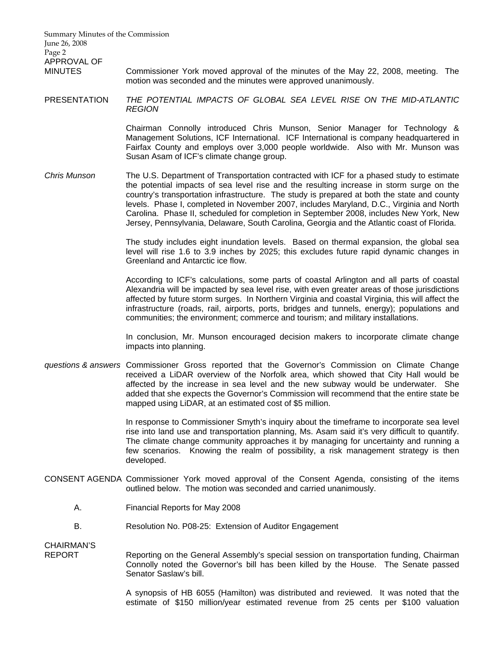Summary Minutes of the Commission June 26, 2008 Page 2 APPROVAL OF MINUTES Commissioner York moved approval of the minutes of the May 22, 2008, meeting. The motion was seconded and the minutes were approved unanimously.

PRESENTATION *THE POTENTIAL IMPACTS OF GLOBAL SEA LEVEL RISE ON THE MID-ATLANTIC REGION*

> Chairman Connolly introduced Chris Munson, Senior Manager for Technology & Management Solutions, ICF International. ICF International is company headquartered in Fairfax County and employs over 3,000 people worldwide. Also with Mr. Munson was Susan Asam of ICF's climate change group.

*Chris Munson* The U.S. Department of Transportation contracted with ICF for a phased study to estimate the potential impacts of sea level rise and the resulting increase in storm surge on the country's transportation infrastructure. The study is prepared at both the state and county levels. Phase I, completed in November 2007, includes Maryland, D.C., Virginia and North Carolina. Phase II, scheduled for completion in September 2008, includes New York, New Jersey, Pennsylvania, Delaware, South Carolina, Georgia and the Atlantic coast of Florida.

> The study includes eight inundation levels. Based on thermal expansion, the global sea level will rise 1.6 to 3.9 inches by 2025; this excludes future rapid dynamic changes in Greenland and Antarctic ice flow.

> According to ICF's calculations, some parts of coastal Arlington and all parts of coastal Alexandria will be impacted by sea level rise, with even greater areas of those jurisdictions affected by future storm surges. In Northern Virginia and coastal Virginia, this will affect the infrastructure (roads, rail, airports, ports, bridges and tunnels, energy); populations and communities; the environment; commerce and tourism; and military installations.

> In conclusion, Mr. Munson encouraged decision makers to incorporate climate change impacts into planning.

*questions & answers* Commissioner Gross reported that the Governor's Commission on Climate Change received a LiDAR overview of the Norfolk area, which showed that City Hall would be affected by the increase in sea level and the new subway would be underwater. She added that she expects the Governor's Commission will recommend that the entire state be mapped using LiDAR, at an estimated cost of \$5 million.

> In response to Commissioner Smyth's inquiry about the timeframe to incorporate sea level rise into land use and transportation planning, Ms. Asam said it's very difficult to quantify. The climate change community approaches it by managing for uncertainty and running a few scenarios. Knowing the realm of possibility, a risk management strategy is then developed.

- CONSENT AGENDA Commissioner York moved approval of the Consent Agenda, consisting of the items outlined below. The motion was seconded and carried unanimously.
	- A. Financial Reports for May 2008
	- B. Resolution No. P08-25: Extension of Auditor Engagement

CHAIRMAN'S

REPORT Reporting on the General Assembly's special session on transportation funding, Chairman Connolly noted the Governor's bill has been killed by the House. The Senate passed Senator Saslaw's bill.

> A synopsis of HB 6055 (Hamilton) was distributed and reviewed. It was noted that the estimate of \$150 million/year estimated revenue from 25 cents per \$100 valuation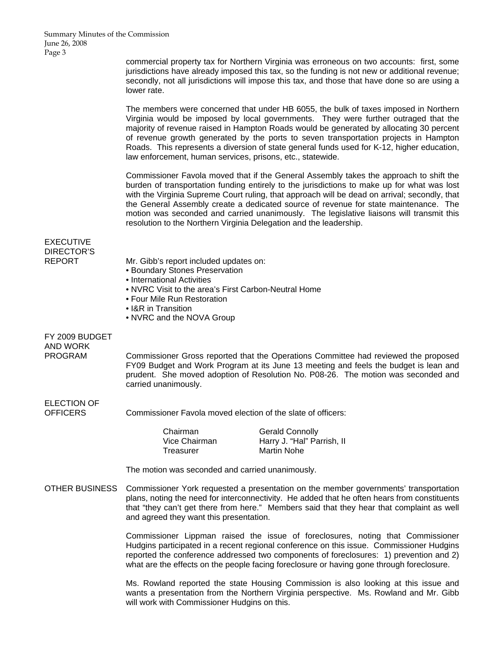commercial property tax for Northern Virginia was erroneous on two accounts: first, some jurisdictions have already imposed this tax, so the funding is not new or additional revenue; secondly, not all jurisdictions will impose this tax, and those that have done so are using a lower rate.

 The members were concerned that under HB 6055, the bulk of taxes imposed in Northern Virginia would be imposed by local governments. They were further outraged that the majority of revenue raised in Hampton Roads would be generated by allocating 30 percent of revenue growth generated by the ports to seven transportation projects in Hampton Roads. This represents a diversion of state general funds used for K-12, higher education, law enforcement, human services, prisons, etc., statewide.

Commissioner Favola moved that if the General Assembly takes the approach to shift the burden of transportation funding entirely to the jurisdictions to make up for what was lost with the Virginia Supreme Court ruling, that approach will be dead on arrival; secondly, that the General Assembly create a dedicated source of revenue for state maintenance. The motion was seconded and carried unanimously. The legislative liaisons will transmit this resolution to the Northern Virginia Delegation and the leadership.

EXECUTIVE DIRECTOR'S

- REPORT Mr. Gibb's report included updates on:
	- Boundary Stones Preservation
	- International Activities
	- NVRC Visit to the area's First Carbon-Neutral Home
	- Four Mile Run Restoration
	- I&R in Transition
	- NVRC and the NOVA Group

FY 2009 BUDGET AND WORK

PROGRAM Commissioner Gross reported that the Operations Committee had reviewed the proposed FY09 Budget and Work Program at its June 13 meeting and feels the budget is lean and prudent. She moved adoption of Resolution No. P08-26. The motion was seconded and carried unanimously.

# ELECTION OF

OFFICERS Commissioner Favola moved election of the slate of officers:

| Chairman      |  |
|---------------|--|
| Vice Chairman |  |
| Treasurer     |  |

**Gerald Connolly** Harry J. "Hal" Parrish, II Martin Nohe

The motion was seconded and carried unanimously.

OTHER BUSINESS Commissioner York requested a presentation on the member governments' transportation plans, noting the need for interconnectivity. He added that he often hears from constituents that "they can't get there from here." Members said that they hear that complaint as well and agreed they want this presentation.

> Commissioner Lippman raised the issue of foreclosures, noting that Commissioner Hudgins participated in a recent regional conference on this issue. Commissioner Hudgins reported the conference addressed two components of foreclosures: 1) prevention and 2) what are the effects on the people facing foreclosure or having gone through foreclosure.

> Ms. Rowland reported the state Housing Commission is also looking at this issue and wants a presentation from the Northern Virginia perspective. Ms. Rowland and Mr. Gibb will work with Commissioner Hudgins on this.